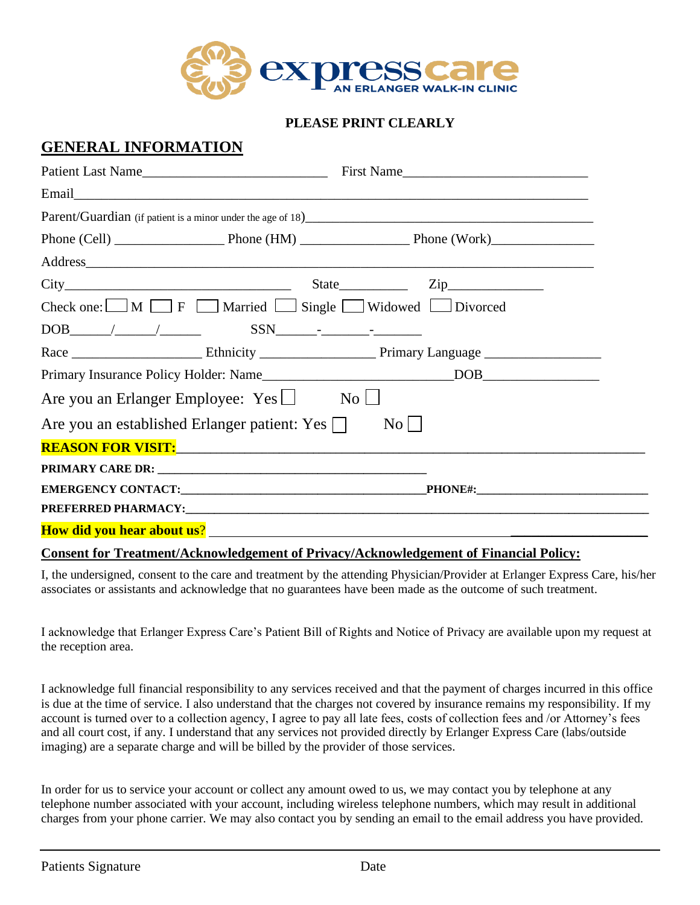

#### **PLEASE PRINT CLEARLY**

#### **GENERAL INFORMATION**

| Patient Last Name                                                                                                                                                                                                                                                                                                                             |  | First Name    |  |
|-----------------------------------------------------------------------------------------------------------------------------------------------------------------------------------------------------------------------------------------------------------------------------------------------------------------------------------------------|--|---------------|--|
|                                                                                                                                                                                                                                                                                                                                               |  |               |  |
|                                                                                                                                                                                                                                                                                                                                               |  |               |  |
|                                                                                                                                                                                                                                                                                                                                               |  |               |  |
| Address and the same contract of the same contract of the same contract of the same contract of the same contract of the same contract of the same contract of the same contract of the same contract of the same contract of                                                                                                                 |  |               |  |
|                                                                                                                                                                                                                                                                                                                                               |  | $State$ $Zip$ |  |
| Check one: $\Box M \Box F$ Married $\Box$ Single $\Box$ Widowed $\Box$ Divorced                                                                                                                                                                                                                                                               |  |               |  |
| $DOB$ $\qquad \qquad$ $\qquad$ $\qquad$ $\qquad$ $SSN$ $\qquad$ $\qquad$ $\qquad$ $\qquad$ $\qquad$ $\qquad$ $\qquad$ $\qquad$ $\qquad$ $\qquad$ $\qquad$ $\qquad$ $\qquad$ $\qquad$ $\qquad$ $\qquad$ $\qquad$ $\qquad$ $\qquad$ $\qquad$ $\qquad$ $\qquad$ $\qquad$ $\qquad$ $\qquad$ $\qquad$ $\qquad$ $\qquad$ $\qquad$ $\qquad$ $\qquad$ |  |               |  |
|                                                                                                                                                                                                                                                                                                                                               |  |               |  |
|                                                                                                                                                                                                                                                                                                                                               |  |               |  |
| Are you an Erlanger Employee: $Yes \Box$ No $\Box$                                                                                                                                                                                                                                                                                            |  |               |  |
| Are you an established Erlanger patient: Yes $\Box$<br>$\mathrm{No}$                                                                                                                                                                                                                                                                          |  |               |  |
| REASON FOR VISIT: <b>And the Contract of the Contract of Contract of Contract of Contract of Contract of Contract of Contract of Contract of Contract of Contract of Contract of Contract of Contract of Contract of Contract of</b>                                                                                                          |  |               |  |
|                                                                                                                                                                                                                                                                                                                                               |  |               |  |
| <b>PHONE#:__________________________________</b>                                                                                                                                                                                                                                                                                              |  |               |  |
| PREFERRED PHARMACY: The contract of the contract of the contract of the contract of the contract of the contract of the contract of the contract of the contract of the contract of the contract of the contract of the contra                                                                                                                |  |               |  |
|                                                                                                                                                                                                                                                                                                                                               |  |               |  |

#### **Consent for Treatment/Acknowledgement of Privacy/Acknowledgement of Financial Policy:**

I, the undersigned, consent to the care and treatment by the attending Physician/Provider at Erlanger Express Care, his/her associates or assistants and acknowledge that no guarantees have been made as the outcome of such treatment.

I acknowledge that Erlanger Express Care's Patient Bill of Rights and Notice of Privacy are available upon my request at the reception area.

I acknowledge full financial responsibility to any services received and that the payment of charges incurred in this office is due at the time of service. I also understand that the charges not covered by insurance remains my responsibility. If my account is turned over to a collection agency, I agree to pay all late fees, costs of collection fees and /or Attorney's fees and all court cost, if any. I understand that any services not provided directly by Erlanger Express Care (labs/outside imaging) are a separate charge and will be billed by the provider of those services.

In order for us to service your account or collect any amount owed to us, we may contact you by telephone at any telephone number associated with your account, including wireless telephone numbers, which may result in additional charges from your phone carrier. We may also contact you by sending an email to the email address you have provided.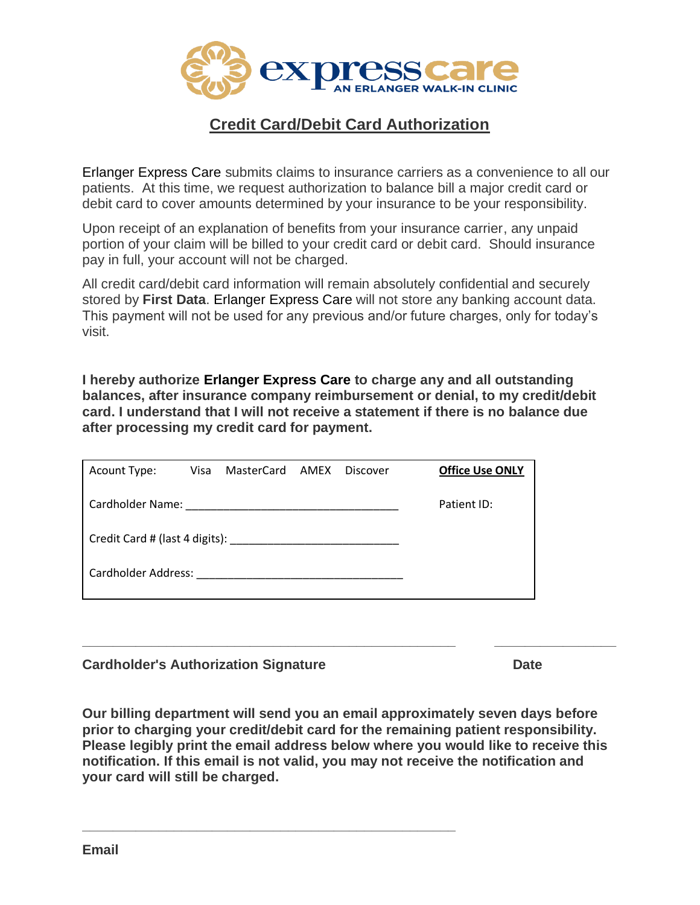

## **Credit Card/Debit Card Authorization**

Erlanger Express Care submits claims to insurance carriers as a convenience to all our patients. At this time, we request authorization to balance bill a major credit card or debit card to cover amounts determined by your insurance to be your responsibility.

Upon receipt of an explanation of benefits from your insurance carrier, any unpaid portion of your claim will be billed to your credit card or debit card. Should insurance pay in full, your account will not be charged.

All credit card/debit card information will remain absolutely confidential and securely stored by **First Data**. Erlanger Express Care will not store any banking account data. This payment will not be used for any previous and/or future charges, only for today's visit.

**I hereby authorize Erlanger Express Care to charge any and all outstanding balances, after insurance company reimbursement or denial, to my credit/debit card. I understand that I will not receive a statement if there is no balance due after processing my credit card for payment.**

| Acount Type: |  | Visa MasterCard AMEX |  | Discover | <b>Office Use ONLY</b> |
|--------------|--|----------------------|--|----------|------------------------|
|              |  |                      |  |          | Patient ID:            |
|              |  |                      |  |          |                        |
|              |  |                      |  |          |                        |

**Cardholder's Authorization Signature Cardholder's Authorization Signature Date** 

**Our billing department will send you an email approximately seven days before prior to charging your credit/debit card for the remaining patient responsibility. Please legibly print the email address below where you would like to receive this notification. If this email is not valid, you may not receive the notification and your card will still be charged.**

**\_\_\_\_\_\_\_\_\_\_\_\_\_\_\_\_\_\_\_\_\_\_\_\_\_\_\_\_\_\_\_\_\_\_\_\_\_\_\_\_\_\_\_\_\_\_\_\_\_**

**\_\_\_\_\_\_\_\_\_\_\_\_\_\_\_\_\_\_\_\_\_\_\_\_\_\_\_\_\_\_\_\_\_\_\_\_\_\_\_\_\_\_\_\_\_\_\_\_\_ \_\_\_\_\_\_\_\_\_\_\_\_\_\_\_\_**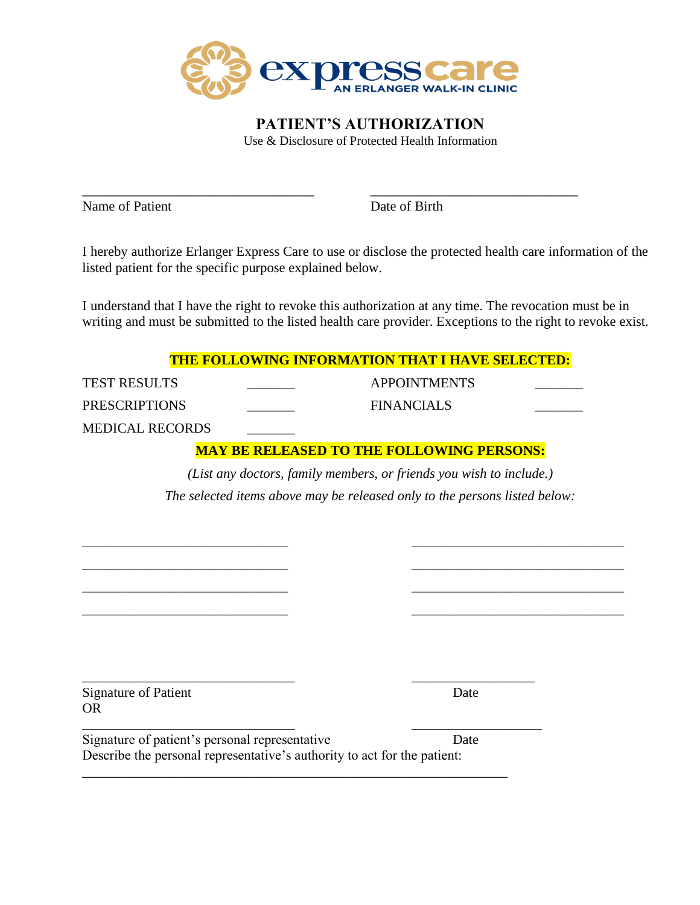

\_\_\_\_\_\_\_\_\_\_\_\_\_\_\_\_\_\_\_\_\_\_\_\_\_\_\_\_\_ \_\_\_\_\_\_\_\_\_\_\_\_\_\_\_\_\_\_\_\_\_\_\_\_\_\_

**PATIENT'S AUTHORIZATION** Use & Disclosure of Protected Health Information

Name of Patient Date of Birth

I hereby authorize Erlanger Express Care to use or disclose the protected health care information of the listed patient for the specific purpose explained below.

I understand that I have the right to revoke this authorization at any time. The revocation must be in writing and must be submitted to the listed health care provider. Exceptions to the right to revoke exist.

| <b>THE FOLLOWING INFORMATION THAT I HAVE SELECTED:</b> |  |  |  |
|--------------------------------------------------------|--|--|--|
|--------------------------------------------------------|--|--|--|

TEST RESULTS APPOINTMENTS PRESCRIPTIONS FINANCIALS MEDICAL RECORDS

#### **MAY BE RELEASED TO THE FOLLOWING PERSONS:**

*(List any doctors, family members, or friends you wish to include.) The selected items above may be released only to the persons listed below:*

\_\_\_\_\_\_\_\_\_\_\_\_\_\_\_\_\_\_\_\_\_\_\_\_\_\_\_\_\_\_ \_\_\_\_\_\_\_\_\_\_\_\_\_\_\_\_\_\_\_\_\_\_\_\_\_\_\_\_\_\_\_ \_\_\_\_\_\_\_\_\_\_\_\_\_\_\_\_\_\_\_\_\_\_\_\_\_\_\_\_\_\_ \_\_\_\_\_\_\_\_\_\_\_\_\_\_\_\_\_\_\_\_\_\_\_\_\_\_\_\_\_\_\_ \_\_\_\_\_\_\_\_\_\_\_\_\_\_\_\_\_\_\_\_\_\_\_\_\_\_\_\_\_\_ \_\_\_\_\_\_\_\_\_\_\_\_\_\_\_\_\_\_\_\_\_\_\_\_\_\_\_\_\_\_\_ \_\_\_\_\_\_\_\_\_\_\_\_\_\_\_\_\_\_\_\_\_\_\_\_\_\_\_\_\_\_ \_\_\_\_\_\_\_\_\_\_\_\_\_\_\_\_\_\_\_\_\_\_\_\_\_\_\_\_\_\_\_

\_\_\_\_\_\_\_\_\_\_\_\_\_\_\_\_\_\_\_\_\_\_\_\_\_\_\_\_\_\_\_ \_\_\_\_\_\_\_\_\_\_\_\_\_\_\_\_\_\_ Signature of Patient Date OR

\_\_\_\_\_\_\_\_\_\_\_\_\_\_\_\_\_\_\_\_\_\_\_\_\_\_\_\_\_\_\_ \_\_\_\_\_\_\_\_\_\_\_\_\_\_\_\_\_\_\_ Signature of patient's personal representative Date Describe the personal representative's authority to act for the patient:

\_\_\_\_\_\_\_\_\_\_\_\_\_\_\_\_\_\_\_\_\_\_\_\_\_\_\_\_\_\_\_\_\_\_\_\_\_\_\_\_\_\_\_\_\_\_\_\_\_\_\_\_\_\_\_\_\_\_\_\_\_\_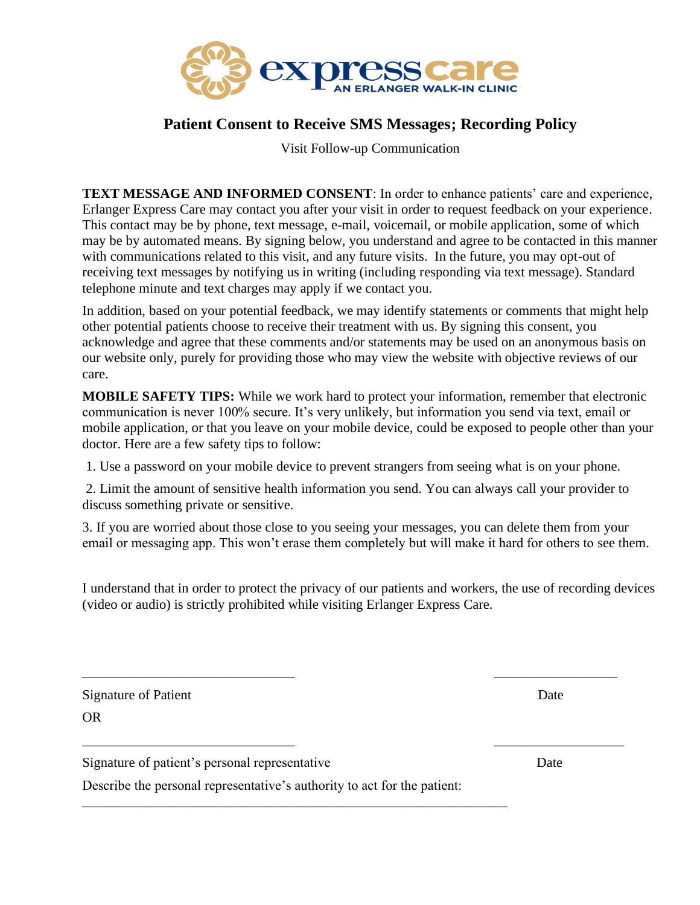

### **Patient Consent to Receive SMS Messages; Recording Policy**

Visit Follow-up Communication

**TEXT MESSAGE AND INFORMED CONSENT**: In order to enhance patients' care and experience, Erlanger Express Care may contact you after your visit in order to request feedback on your experience. This contact may be by phone, text message, e-mail, voicemail, or mobile application, some of which may be by automated means. By signing below, you understand and agree to be contacted in this manner with communications related to this visit, and any future visits. In the future, you may opt-out of receiving text messages by notifying us in writing (including responding via text message). Standard telephone minute and text charges may apply if we contact you.

In addition, based on your potential feedback, we may identify statements or comments that might help other potential patients choose to receive their treatment with us. By signing this consent, you acknowledge and agree that these comments and/or statements may be used on an anonymous basis on our website only, purely for providing those who may view the website with objective reviews of our care.

**MOBILE SAFETY TIPS:** While we work hard to protect your information, remember that electronic communication is never 100% secure. It's very unlikely, but information you send via text, email or mobile application, or that you leave on your mobile device, could be exposed to people other than your doctor. Here are a few safety tips to follow:

1. Use a password on your mobile device to prevent strangers from seeing what is on your phone.

2. Limit the amount of sensitive health information you send. You can always call your provider to discuss something private or sensitive.

3. If you are worried about those close to you seeing your messages, you can delete them from your email or messaging app. This won't erase them completely but will make it hard for others to see them.

I understand that in order to protect the privacy of our patients and workers, the use of recording devices (video or audio) is strictly prohibited while visiting Erlanger Express Care.

\_\_\_\_\_\_\_\_\_\_\_\_\_\_\_\_\_\_\_\_\_\_\_\_\_\_\_\_\_\_\_ \_\_\_\_\_\_\_\_\_\_\_\_\_\_\_\_\_\_

\_\_\_\_\_\_\_\_\_\_\_\_\_\_\_\_\_\_\_\_\_\_\_\_\_\_\_\_\_\_\_ \_\_\_\_\_\_\_\_\_\_\_\_\_\_\_\_\_\_\_

| Signature of Patient | Date |
|----------------------|------|
| <b>OR</b>            |      |

Signature of patient's personal representative Date

Describe the personal representative's authority to act for the patient:

\_\_\_\_\_\_\_\_\_\_\_\_\_\_\_\_\_\_\_\_\_\_\_\_\_\_\_\_\_\_\_\_\_\_\_\_\_\_\_\_\_\_\_\_\_\_\_\_\_\_\_\_\_\_\_\_\_\_\_\_\_\_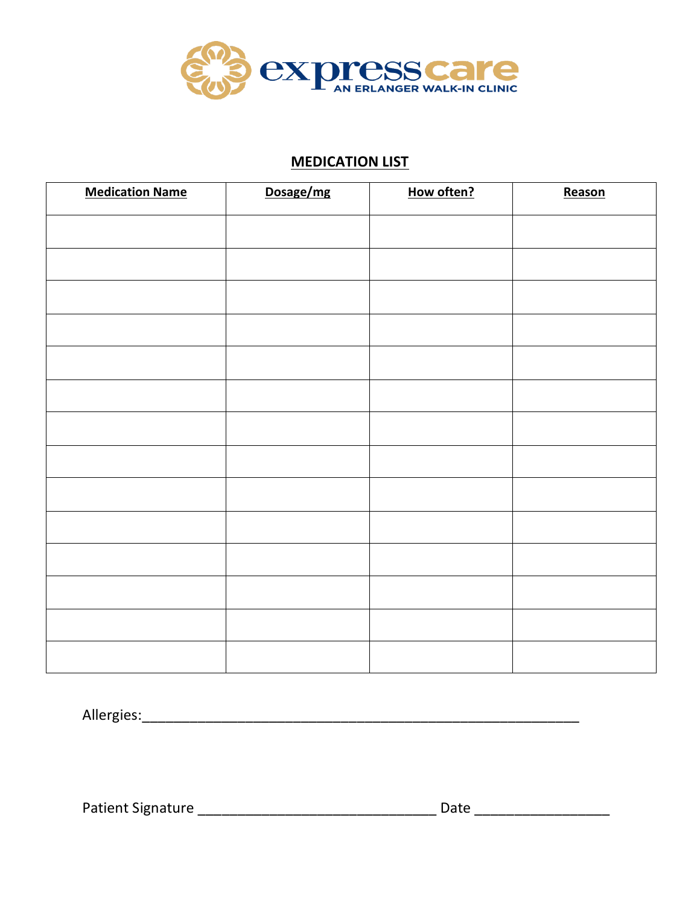

#### **MEDICATION LIST**

| <b>Medication Name</b> | Dosage/mg | How often? | Reason |
|------------------------|-----------|------------|--------|
|                        |           |            |        |
|                        |           |            |        |
|                        |           |            |        |
|                        |           |            |        |
|                        |           |            |        |
|                        |           |            |        |
|                        |           |            |        |
|                        |           |            |        |
|                        |           |            |        |
|                        |           |            |        |
|                        |           |            |        |
|                        |           |            |        |
|                        |           |            |        |
|                        |           |            |        |

Allergies:\_\_\_\_\_\_\_\_\_\_\_\_\_\_\_\_\_\_\_\_\_\_\_\_\_\_\_\_\_\_\_\_\_\_\_\_\_\_\_\_\_\_\_\_\_\_\_\_\_\_\_\_\_\_\_

Patient Signature \_\_\_\_\_\_\_\_\_\_\_\_\_\_\_\_\_\_\_\_\_\_\_\_\_\_\_\_\_\_ Date \_\_\_\_\_\_\_\_\_\_\_\_\_\_\_\_\_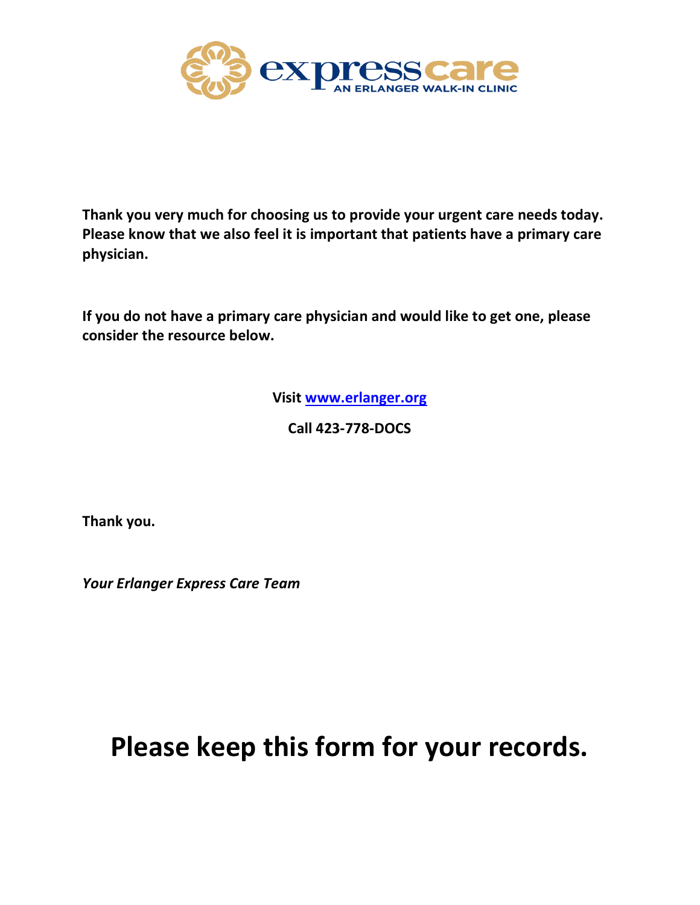

**Thank you very much for choosing us to provide your urgent care needs today. Please know that we also feel it is important that patients have a primary care physician.**

**If you do not have a primary care physician and would like to get one, please consider the resource below.**

**Visit [www.erlanger.org](http://www.erlanger.org/)**

**Call 423-778-DOCS**

**Thank you.**

*Your Erlanger Express Care Team*

# **Please keep this form for your records.**